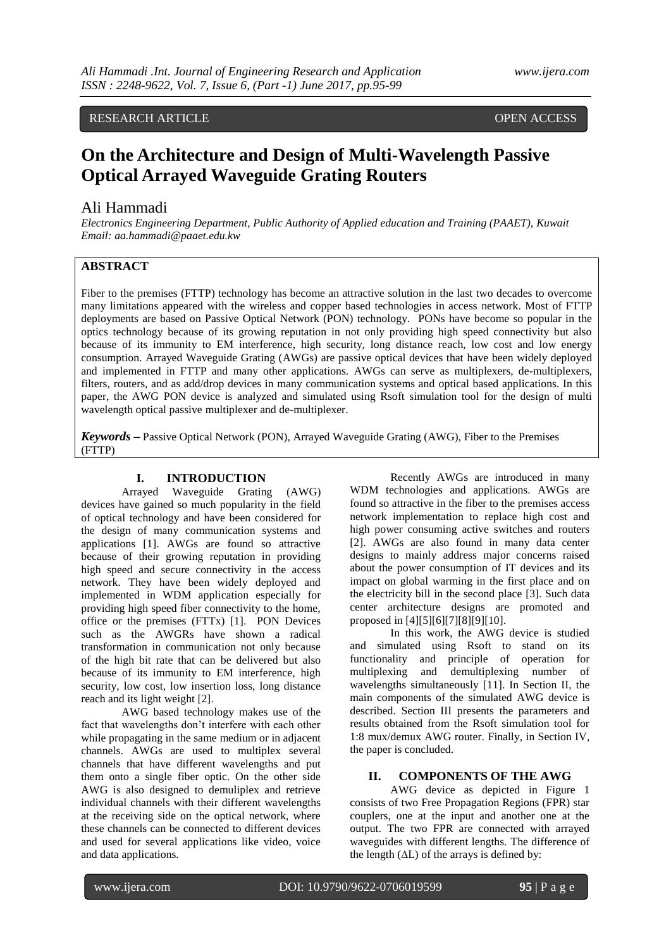# RESEARCH ARTICLE **CONSERVERS** OPEN ACCESS

# **On the Architecture and Design of Multi-Wavelength Passive Optical Arrayed Waveguide Grating Routers**

# Ali Hammadi

*Electronics Engineering Department, Public Authority of Applied education and Training (PAAET), Kuwait Email: aa.hammadi@paaet.edu.kw*

# **ABSTRACT**

Fiber to the premises (FTTP) technology has become an attractive solution in the last two decades to overcome many limitations appeared with the wireless and copper based technologies in access network. Most of FTTP deployments are based on Passive Optical Network (PON) technology. PONs have become so popular in the optics technology because of its growing reputation in not only providing high speed connectivity but also because of its immunity to EM interference, high security, long distance reach, low cost and low energy consumption. Arrayed Waveguide Grating (AWGs) are passive optical devices that have been widely deployed and implemented in FTTP and many other applications. AWGs can serve as multiplexers, de-multiplexers, filters, routers, and as add/drop devices in many communication systems and optical based applications. In this paper, the AWG PON device is analyzed and simulated using Rsoft simulation tool for the design of multi wavelength optical passive multiplexer and de-multiplexer.

*Keywords* **–** Passive Optical Network (PON), Arrayed Waveguide Grating (AWG), Fiber to the Premises (FTTP)

### **I. INTRODUCTION**

Arrayed Waveguide Grating (AWG) devices have gained so much popularity in the field of optical technology and have been considered for the design of many communication systems and applications [1]. AWGs are found so attractive because of their growing reputation in providing high speed and secure connectivity in the access network. They have been widely deployed and implemented in WDM application especially for providing high speed fiber connectivity to the home, office or the premises (FTTx) [1]. PON Devices such as the AWGRs have shown a radical transformation in communication not only because of the high bit rate that can be delivered but also because of its immunity to EM interference, high security, low cost, low insertion loss, long distance reach and its light weight [2].

AWG based technology makes use of the fact that wavelengths don't interfere with each other while propagating in the same medium or in adjacent channels. AWGs are used to multiplex several channels that have different wavelengths and put them onto a single fiber optic. On the other side AWG is also designed to demuliplex and retrieve individual channels with their different wavelengths at the receiving side on the optical network, where these channels can be connected to different devices and used for several applications like video, voice and data applications.

Recently AWGs are introduced in many WDM technologies and applications. AWGs are found so attractive in the fiber to the premises access network implementation to replace high cost and high power consuming active switches and routers [2]. AWGs are also found in many data center designs to mainly address major concerns raised about the power consumption of IT devices and its impact on global warming in the first place and on the electricity bill in the second place [3]. Such data center architecture designs are promoted and proposed in [4][5][6][7][8][9][10].

In this work, the AWG device is studied and simulated using Rsoft to stand on its functionality and principle of operation for multiplexing and demultiplexing number of wavelengths simultaneously [11]. In Section II, the main components of the simulated AWG device is described. Section III presents the parameters and results obtained from the Rsoft simulation tool for 1:8 mux/demux AWG router. Finally, in Section IV, the paper is concluded.

#### **II. COMPONENTS OF THE AWG**

AWG device as depicted in Figure 1 consists of two Free Propagation Regions (FPR) star couplers, one at the input and another one at the output. The two FPR are connected with arrayed waveguides with different lengths. The difference of the length  $(\Delta L)$  of the arrays is defined by: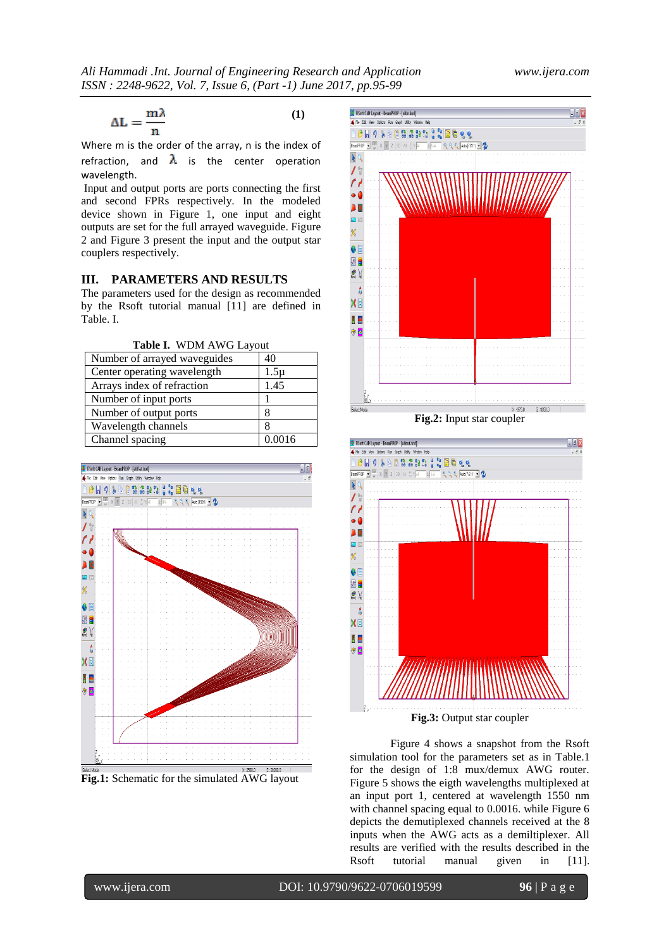$$
\Delta L = \frac{m\lambda}{n} \tag{1}
$$

Where m is the order of the array, n is the index of refraction, and  $\lambda$  is the center operation wavelength.

Input and output ports are ports connecting the first and second FPRs respectively. In the modeled device shown in Figure 1, one input and eight outputs are set for the full arrayed waveguide. Figure 2 and Figure 3 present the input and the output star couplers respectively.

# **III. PARAMETERS AND RESULTS**

The parameters used for the design as recommended by the Rsoft tutorial manual [11] are defined in Table. I.

**Table I.** WDM AWG Layout

| Number of arrayed waveguides | 40       |
|------------------------------|----------|
| Center operating wavelength  | $1.5\mu$ |
| Arrays index of refraction   | 1.45     |
| Number of input ports        |          |
| Number of output ports       |          |
| Wavelength channels          |          |
| Channel spacing              | 0.0016   |



**Fig.1:** Schematic for the simulated AWG layout



**Fig.2:** Input star coupler



Figure 4 shows a snapshot from the Rsoft simulation tool for the parameters set as in Table.1 for the design of 1:8 mux/demux AWG router. Figure 5 shows the eigth wavelengths multiplexed at an input port 1, centered at wavelength 1550 nm with channel spacing equal to 0.0016. while Figure 6 depicts the demutiplexed channels received at the 8 inputs when the AWG acts as a demiltiplexer. All results are verified with the results described in the Rsoft tutorial manual given in [11].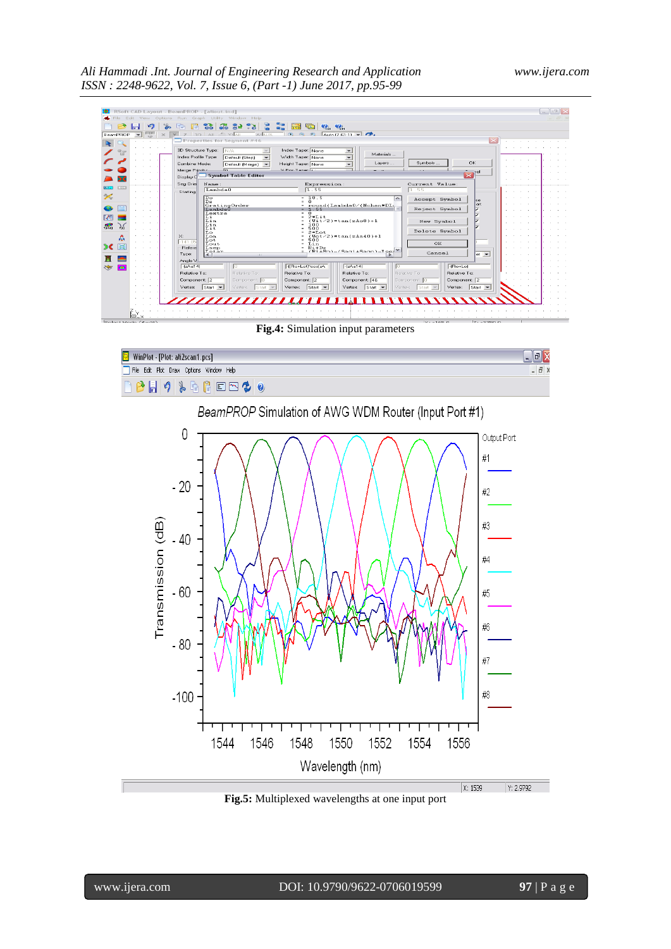|                                                                                                                | $  \mathbf{m}  \times$<br>RSoft CAD Layout - BeamPROP - [aliout.ind]<br>Edit View Options Run Graph Utility Window Help                                                                                                                                                                                                                                                                                                                                                                                                                                                                                                                         |  |
|----------------------------------------------------------------------------------------------------------------|-------------------------------------------------------------------------------------------------------------------------------------------------------------------------------------------------------------------------------------------------------------------------------------------------------------------------------------------------------------------------------------------------------------------------------------------------------------------------------------------------------------------------------------------------------------------------------------------------------------------------------------------------|--|
| BeamPROP                                                                                                       | $\frac{1}{2}$ $\frac{1}{2}$<br><b>28 S2</b><br>$\ddot{\bullet}$<br><b>않</b><br>$\bullet$<br>lia <sub>1</sub><br>မ, မ,<br>$\mathbb{R} \odot \mathbb{R}$ $\mathbb{R}$ $\mathbb{Z}$ $\mathbb{Z}$ $\mathbb{Z}$ $\mathbb{Z}$ $\mathbb{Z}$ $\mathbb{Z}$ $\mathbb{Z}$<br>$13D$ $Al$ $\rightarrow$ $Y:$ $\overline{AI}$<br>$\checkmark$<br>A: N/A<br>$\Box$ Properties for Segment #46                                                                                                                                                                                                                                                                  |  |
| ЪC                                                                                                             | 3D Structure Type:<br>N/A<br>Index Taper: None<br>Materials<br>Index Profile Type:<br>Width Taper: None<br>Default (Step)<br>$\check{\phantom{a}}$<br>OK.<br>Symbols<br>Lavers<br>Combine Mode:<br>Height Taper: None<br>Default [Merge] -<br>٠<br>$\vee$ Pos Tanaring<br>Merge Pripritus<br>sel.<br>$\overline{\mathbf{x}}$<br><b>Symbol Table Editor</b><br>Display C                                                                                                                                                                                                                                                                         |  |
| <b>EBB</b><br>$\mathscr{L}$<br>$\mathbb{R}$<br>)<br>16<br>$f_{\text{D}(\text{V2})}$<br>۵<br>罔<br>$\mathcal{D}$ | Seg Orier<br>Current Value:<br>Expression:<br>Name:<br>1.55<br>Lambda0<br>1.55<br>Starting<br>Do<br>$-18.5$<br>Accept Symbol<br>5 <sub>c</sub><br>Dz<br>n.<br>llart<br>GratingOrder<br>Lambda0<br>round(Lambda0/(Nchan*DL)<br>Reject Symbol<br>1.55<br>  ⊽<br>Lextra<br>2*Lit<br>Li.<br>$Wit/2$ )*tan(zAo8)+1<br>Lim<br>New Symbol<br>Lin<br>100<br>500<br>Lit<br>Delete Symbol<br>2∗Lot<br>Lo<br>$\times$<br>$Wot/2$ )*tan(zAa40)+1<br>Lom<br>Lot<br>500<br>$-141.85$<br>OK.<br>Lout<br>Lin<br>$Ri+Dz$<br><b>Befere</b><br>Lsep<br>$(F + F -) - (S - 1 + S - 1) - T -$<br>Tetan<br>Cancel<br>Type:<br>$ $ et $-$<br>$\epsilon$ 1<br><b>ALL</b> |  |
| в<br>$\bullet$<br>25<br>$\otimes$ $\times$<br>$C =$ lant Monda $AB = AB$                                       | Angle V<br>-((Ro+Lot)*cos(zA<br>$-[zAa14]$<br>$-2Aa14$<br>$ ($ Ro+Lo $)$<br>m<br>Relative To:<br>Relative To:<br>Relative To:<br>Relative To:<br>Belative To:<br>Belative To:<br>Component: 2<br>Component: 2<br>Component: 46<br>Component: 2<br>Component: 0<br>Component: 0<br>Vertex: Start $\blacktriangleright$<br>Vertex: $\left \text{Start} \right $<br>Vertex: Start<br>Vertex: $\left \text{Start}\right $ $\leftarrow$<br>Vertex: Start $\vert \mathbf{v} \vert$<br>Vertex:<br>$S$ tart $\rightarrow$<br>7777777777777711111111111111<br>$x - 1550$<br><b>2. 2750.0</b>                                                             |  |

**Fig.4:** Simulation input parameters



**Fig.5:** Multiplexed wavelengths at one input port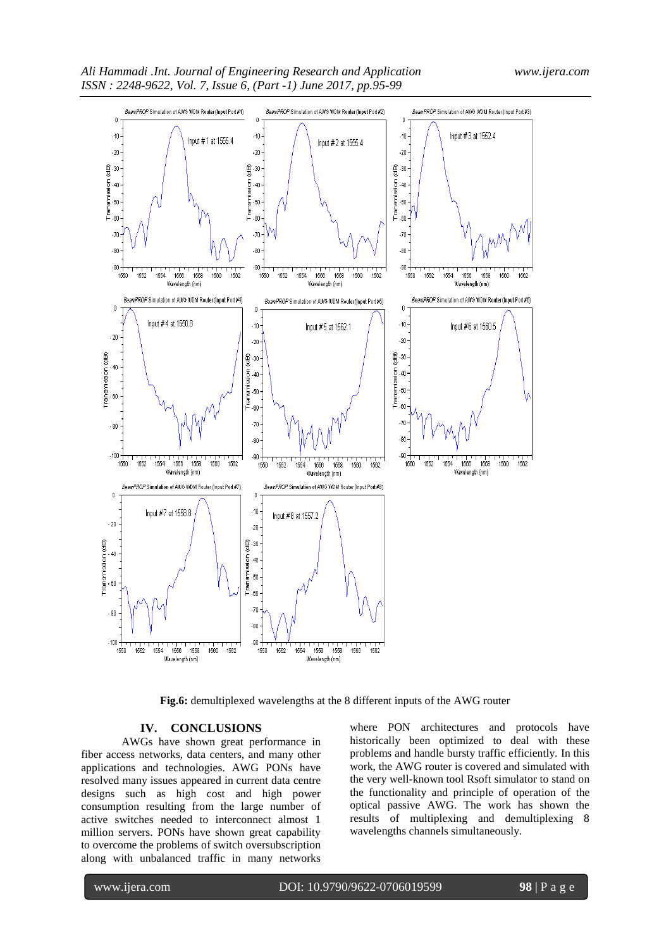

**Fig.6:** demultiplexed wavelengths at the 8 different inputs of the AWG router

## **IV. CONCLUSIONS**

AWGs have shown great performance in fiber access networks, data centers, and many other applications and technologies. AWG PONs have resolved many issues appeared in current data centre designs such as high cost and high power consumption resulting from the large number of active switches needed to interconnect almost 1 million servers. PONs have shown great capability to overcome the problems of switch oversubscription along with unbalanced traffic in many networks where PON architectures and protocols have historically been optimized to deal with these problems and handle bursty traffic efficiently. In this work, the AWG router is covered and simulated with the very well-known tool Rsoft simulator to stand on the functionality and principle of operation of the optical passive AWG. The work has shown the results of multiplexing and demultiplexing 8 wavelengths channels simultaneously.